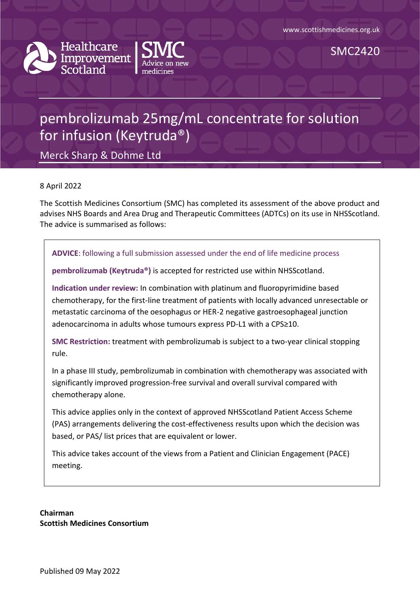



SMC2420

# pembrolizumab 25mg/mL concentrate for solution for infusion (Keytruda®)

Merck Sharp & Dohme Ltd

#### 8 April 2022

The Scottish Medicines Consortium (SMC) has completed its assessment of the above product and advises NHS Boards and Area Drug and Therapeutic Committees (ADTCs) on its use in NHSScotland. The advice is summarised as follows:

#### **ADVICE**: following a full submission assessed under the end of life medicine process

**pembrolizumab (Keytruda®)** is accepted for restricted use within NHSScotland.

**Indication under review:** In combination with platinum and fluoropyrimidine based chemotherapy, for the first-line treatment of patients with locally advanced unresectable or metastatic carcinoma of the oesophagus or HER-2 negative gastroesophageal junction adenocarcinoma in adults whose tumours express PD-L1 with a CPS≥10.

**SMC Restriction:** treatment with pembrolizumab is subject to a two-year clinical stopping rule.

In a phase III study, pembrolizumab in combination with chemotherapy was associated with significantly improved progression-free survival and overall survival compared with chemotherapy alone.

This advice applies only in the context of approved NHSScotland Patient Access Scheme (PAS) arrangements delivering the cost-effectiveness results upon which the decision was based, or PAS/ list prices that are equivalent or lower.

This advice takes account of the views from a Patient and Clinician Engagement (PACE) meeting.

**Chairman Scottish Medicines Consortium**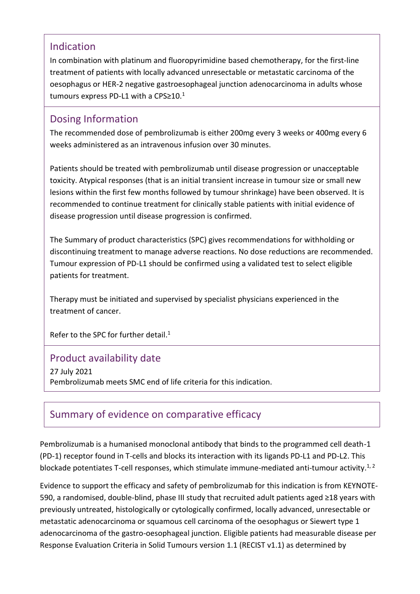### Indication

In combination with platinum and fluoropyrimidine based chemotherapy, for the first-line treatment of patients with locally advanced unresectable or metastatic carcinoma of the oesophagus or HER-2 negative gastroesophageal junction adenocarcinoma in adults whose tumours express PD-L1 with a CPS≥10.<sup>1</sup>

### Dosing Information

The recommended dose of pembrolizumab is either 200mg every 3 weeks or 400mg every 6 weeks administered as an intravenous infusion over 30 minutes.

Patients should be treated with pembrolizumab until disease progression or unacceptable toxicity. Atypical responses (that is an initial transient increase in tumour size or small new lesions within the first few months followed by tumour shrinkage) have been observed. It is recommended to continue treatment for clinically stable patients with initial evidence of disease progression until disease progression is confirmed.

The Summary of product characteristics (SPC) gives recommendations for withholding or discontinuing treatment to manage adverse reactions. No dose reductions are recommended. Tumour expression of PD-L1 should be confirmed using a validated test to select eligible patients for treatment.

Therapy must be initiated and supervised by specialist physicians experienced in the treatment of cancer.

Refer to the SPC for further detail.<sup>1</sup>

### Product availability date

27 July 2021 Pembrolizumab meets SMC end of life criteria for this indication.

## Summary of evidence on comparative efficacy

Pembrolizumab is a humanised monoclonal antibody that binds to the programmed cell death-1 (PD-1) receptor found in T-cells and blocks its interaction with its ligands PD-L1 and PD-L2. This blockade potentiates T-cell responses, which stimulate immune-mediated anti-tumour activity.<sup>1, 2</sup>

Evidence to support the efficacy and safety of pembrolizumab for this indication is from KEYNOTE-590, a randomised, double-blind, phase III study that recruited adult patients aged ≥18 years with previously untreated, histologically or cytologically confirmed, locally advanced, unresectable or metastatic adenocarcinoma or squamous cell carcinoma of the oesophagus or Siewert type 1 adenocarcinoma of the gastro-oesophageal junction. Eligible patients had measurable disease per Response Evaluation Criteria in Solid Tumours version 1.1 (RECIST v1.1) as determined by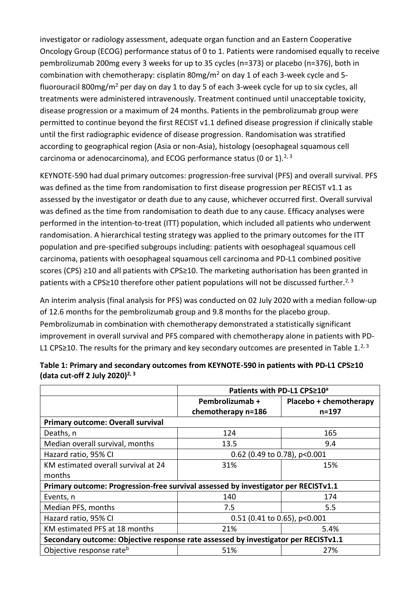investigator or radiology assessment, adequate organ function and an Eastern Cooperative Oncology Group (ECOG) performance status of 0 to 1. Patients were randomised equally to receive pembrolizumab 200mg every 3 weeks for up to 35 cycles (n=373) or placebo (n=376), both in combination with chemotherapy: cisplatin  $80$ mg/m<sup>2</sup> on day 1 of each 3-week cycle and 5fluorouracil 800mg/m<sup>2</sup> per day on day 1 to day 5 of each 3-week cycle for up to six cycles, all treatments were administered intravenously. Treatment continued until unacceptable toxicity, disease progression or a maximum of 24 months. Patients in the pembrolizumab group were permitted to continue beyond the first RECIST v1.1 defined disease progression if clinically stable until the first radiographic evidence of disease progression. Randomisation was stratified according to geographical region (Asia or non-Asia), histology (oesophageal squamous cell carcinoma or adenocarcinoma), and ECOG performance status (0 or 1). $^{2,3}$ 

KEYNOTE-590 had dual primary outcomes: progression-free survival (PFS) and overall survival. PFS was defined as the time from randomisation to first disease progression per RECIST v1.1 as assessed by the investigator or death due to any cause, whichever occurred first. Overall survival was defined as the time from randomisation to death due to any cause. Efficacy analyses were performed in the intention-to-treat (ITT) population, which included all patients who underwent randomisation. A hierarchical testing strategy was applied to the primary outcomes for the ITT population and pre-specified subgroups including: patients with oesophageal squamous cell carcinoma, patients with oesophageal squamous cell carcinoma and PD-L1 combined positive scores (CPS) ≥10 and all patients with CPS≥10. The marketing authorisation has been granted in patients with a CPS≥10 therefore other patient populations will not be discussed further.<sup>2, 3</sup>

An interim analysis (final analysis for PFS) was conducted on 02 July 2020 with a median follow-up of 12.6 months for the pembrolizumab group and 9.8 months for the placebo group. Pembrolizumab in combination with chemotherapy demonstrated a statistically significant improvement in overall survival and PFS compared with chemotherapy alone in patients with PD-L1 CPS≥10. The results for the primary and key secondary outcomes are presented in Table  $1.^{2,3}$ 

|                                                                                    | Patients with PD-L1 CPS≥10 <sup>a</sup> |                                 |  |  |
|------------------------------------------------------------------------------------|-----------------------------------------|---------------------------------|--|--|
|                                                                                    | Pembrolizumab +<br>chemotherapy n=186   | Placebo + chemotherapy<br>n=197 |  |  |
| <b>Primary outcome: Overall survival</b>                                           |                                         |                                 |  |  |
| Deaths, n                                                                          | 124                                     | 165                             |  |  |
| Median overall survival, months                                                    | 13.5                                    | 9.4                             |  |  |
| Hazard ratio, 95% CI                                                               | 0.62 (0.49 to 0.78), p<0.001            |                                 |  |  |
| KM estimated overall survival at 24                                                | 31%                                     | 15%                             |  |  |
| months                                                                             |                                         |                                 |  |  |
| Primary outcome: Progression-free survival assessed by investigator per RECISTv1.1 |                                         |                                 |  |  |
| Events, n                                                                          | 140                                     | 174                             |  |  |
| Median PFS, months                                                                 | 7.5                                     | 5.5                             |  |  |
| Hazard ratio, 95% CI                                                               | $0.51$ (0.41 to 0.65), p<0.001          |                                 |  |  |
| KM estimated PFS at 18 months                                                      | 21%                                     | 5.4%                            |  |  |
| Secondary outcome: Objective response rate assessed by investigator per RECISTv1.1 |                                         |                                 |  |  |
| Objective response rate <sup>b</sup>                                               | 51%                                     | 27%                             |  |  |

#### **Table 1: Primary and secondary outcomes from KEYNOTE-590 in patients with PD-L1 CPS≥10 (data cut-off 2 July 2020)2, 3**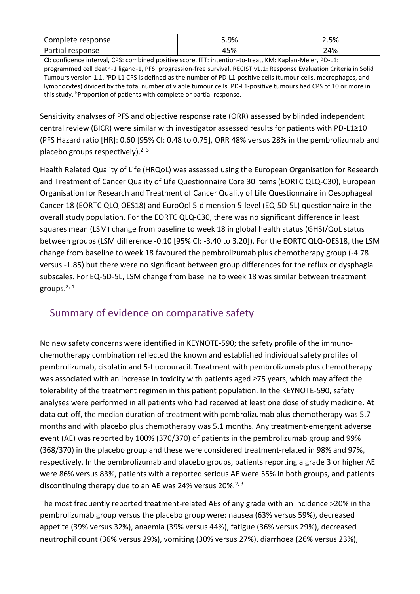| racnonco :<br>---<br>mse<br>. .<br>. | 5.9%           | 2.5% |
|--------------------------------------|----------------|------|
| onse<br>udl<br>αı                    | 1 C 0/<br>4570 | 24%  |

CI: confidence interval, CPS: combined positive score, ITT: intention-to-treat, KM: Kaplan-Meier, PD-L1: programmed cell death-1 ligand-1, PFS: progression-free survival, RECIST v1.1: Response Evaluation Criteria in Solid Tumours version 1.1. <sup>a</sup>PD-L1 CPS is defined as the number of PD-L1-positive cells (tumour cells, macrophages, and lymphocytes) divided by the total number of viable tumour cells. PD-L1-positive tumours had CPS of 10 or more in this study. *P***roportion of patients with complete or partial response.** 

Sensitivity analyses of PFS and objective response rate (ORR) assessed by blinded independent central review (BICR) were similar with investigator assessed results for patients with PD-L1≥10 (PFS Hazard ratio [HR]: 0.60 [95% CI: 0.48 to 0.75], ORR 48% versus 28% in the pembrolizumab and placebo groups respectively).<sup>2, 3</sup>

Health Related Quality of Life (HRQoL) was assessed using the European Organisation for Research and Treatment of Cancer Quality of Life Questionnaire Core 30 items (EORTC QLQ-C30), European Organisation for Research and Treatment of Cancer Quality of Life Questionnaire in Oesophageal Cancer 18 (EORTC QLQ-OES18) and EuroQol 5-dimension 5-level (EQ-5D-5L) questionnaire in the overall study population. For the EORTC QLQ-C30, there was no significant difference in least squares mean (LSM) change from baseline to week 18 in global health status (GHS)/QoL status between groups (LSM difference -0.10 [95% CI: -3.40 to 3.20]). For the EORTC QLQ-OES18, the LSM change from baseline to week 18 favoured the pembrolizumab plus chemotherapy group (-4.78 versus -1.85) but there were no significant between group differences for the reflux or dysphagia subscales. For EQ-5D-5L, LSM change from baseline to week 18 was similar between treatment groups. 2, 4

### Summary of evidence on comparative safety

No new safety concerns were identified in KEYNOTE-590; the safety profile of the immunochemotherapy combination reflected the known and established individual safety profiles of pembrolizumab, cisplatin and 5-fluorouracil. Treatment with pembrolizumab plus chemotherapy was associated with an increase in toxicity with patients aged ≥75 years, which may affect the tolerability of the treatment regimen in this patient population. In the KEYNOTE-590, safety analyses were performed in all patients who had received at least one dose of study medicine. At data cut-off, the median duration of treatment with pembrolizumab plus chemotherapy was 5.7 months and with placebo plus chemotherapy was 5.1 months. Any treatment-emergent adverse event (AE) was reported by 100% (370/370) of patients in the pembrolizumab group and 99% (368/370) in the placebo group and these were considered treatment-related in 98% and 97%, respectively. In the pembrolizumab and placebo groups, patients reporting a grade 3 or higher AE were 86% versus 83%, patients with a reported serious AE were 55% in both groups, and patients discontinuing therapy due to an AE was 24% versus 20%.<sup>2, 3</sup>

The most frequently reported treatment-related AEs of any grade with an incidence >20% in the pembrolizumab group versus the placebo group were: nausea (63% versus 59%), decreased appetite (39% versus 32%), anaemia (39% versus 44%), fatigue (36% versus 29%), decreased neutrophil count (36% versus 29%), vomiting (30% versus 27%), diarrhoea (26% versus 23%),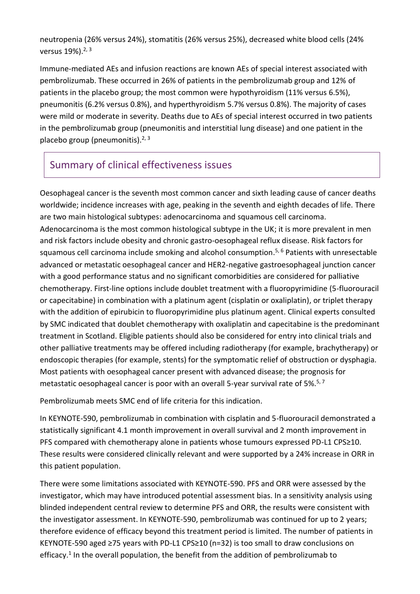neutropenia (26% versus 24%), stomatitis (26% versus 25%), decreased white blood cells (24% versus  $19\%$ ).  $2, 3$ 

Immune-mediated AEs and infusion reactions are known AEs of special interest associated with pembrolizumab. These occurred in 26% of patients in the pembrolizumab group and 12% of patients in the placebo group; the most common were hypothyroidism (11% versus 6.5%), pneumonitis (6.2% versus 0.8%), and hyperthyroidism 5.7% versus 0.8%). The majority of cases were mild or moderate in severity. Deaths due to AEs of special interest occurred in two patients in the pembrolizumab group (pneumonitis and interstitial lung disease) and one patient in the placebo group (pneumonitis). $2, 3$ 

# Summary of clinical effectiveness issues

Oesophageal cancer is the seventh most common cancer and sixth leading cause of cancer deaths worldwide; incidence increases with age, peaking in the seventh and eighth decades of life. There are two main histological subtypes: adenocarcinoma and squamous cell carcinoma. Adenocarcinoma is the most common histological subtype in the UK; it is more prevalent in men and risk factors include obesity and chronic gastro-oesophageal reflux disease. Risk factors for squamous cell carcinoma include smoking and alcohol consumption.<sup>5, 6</sup> Patients with unresectable advanced or metastatic oesophageal cancer and HER2-negative gastroesophageal junction cancer with a good performance status and no significant comorbidities are considered for palliative chemotherapy. First-line options include doublet treatment with a fluoropyrimidine (5-fluorouracil or capecitabine) in combination with a platinum agent (cisplatin or oxaliplatin), or triplet therapy with the addition of epirubicin to fluoropyrimidine plus platinum agent. Clinical experts consulted by SMC indicated that doublet chemotherapy with oxaliplatin and capecitabine is the predominant treatment in Scotland. Eligible patients should also be considered for entry into clinical trials and other palliative treatments may be offered including radiotherapy (for example, brachytherapy) or endoscopic therapies (for example, stents) for the symptomatic relief of obstruction or dysphagia. Most patients with oesophageal cancer present with advanced disease; the prognosis for metastatic oesophageal cancer is poor with an overall 5-year survival rate of 5%.<sup>5, 7</sup>

Pembrolizumab meets SMC end of life criteria for this indication.

In KEYNOTE-590, pembrolizumab in combination with cisplatin and 5-fluorouracil demonstrated a statistically significant 4.1 month improvement in overall survival and 2 month improvement in PFS compared with chemotherapy alone in patients whose tumours expressed PD-L1 CPS≥10. These results were considered clinically relevant and were supported by a 24% increase in ORR in this patient population.

There were some limitations associated with KEYNOTE-590. PFS and ORR were assessed by the investigator, which may have introduced potential assessment bias. In a sensitivity analysis using blinded independent central review to determine PFS and ORR, the results were consistent with the investigator assessment. In KEYNOTE-590, pembrolizumab was continued for up to 2 years; therefore evidence of efficacy beyond this treatment period is limited. The number of patients in KEYNOTE-590 aged ≥75 years with PD-L1 CPS≥10 (n=32) is too small to draw conclusions on efficacy.<sup>1</sup> In the overall population, the benefit from the addition of pembrolizumab to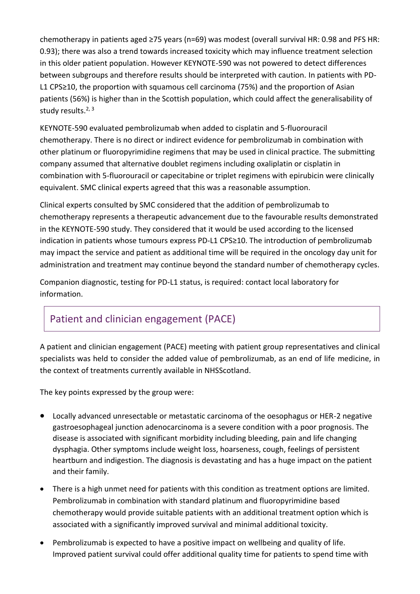chemotherapy in patients aged ≥75 years (n=69) was modest (overall survival HR: 0.98 and PFS HR: 0.93); there was also a trend towards increased toxicity which may influence treatment selection in this older patient population. However KEYNOTE-590 was not powered to detect differences between subgroups and therefore results should be interpreted with caution. In patients with PD-L1 CPS≥10, the proportion with squamous cell carcinoma (75%) and the proportion of Asian patients (56%) is higher than in the Scottish population, which could affect the generalisability of study results.<sup>2, 3</sup>

KEYNOTE-590 evaluated pembrolizumab when added to cisplatin and 5-fluorouracil chemotherapy. There is no direct or indirect evidence for pembrolizumab in combination with other platinum or fluoropyrimidine regimens that may be used in clinical practice. The submitting company assumed that alternative doublet regimens including oxaliplatin or cisplatin in combination with 5-fluorouracil or capecitabine or triplet regimens with epirubicin were clinically equivalent. SMC clinical experts agreed that this was a reasonable assumption.

Clinical experts consulted by SMC considered that the addition of pembrolizumab to chemotherapy represents a therapeutic advancement due to the favourable results demonstrated in the KEYNOTE-590 study. They considered that it would be used according to the licensed indication in patients whose tumours express PD-L1 CPS≥10. The introduction of pembrolizumab may impact the service and patient as additional time will be required in the oncology day unit for administration and treatment may continue beyond the standard number of chemotherapy cycles.

Companion diagnostic, testing for PD-L1 status, is required: contact local laboratory for information.

# Patient and clinician engagement (PACE)

A patient and clinician engagement (PACE) meeting with patient group representatives and clinical specialists was held to consider the added value of pembrolizumab, as an end of life medicine, in the context of treatments currently available in NHSScotland.

The key points expressed by the group were:

- Locally advanced unresectable or metastatic carcinoma of the oesophagus or HER-2 negative gastroesophageal junction adenocarcinoma is a severe condition with a poor prognosis. The disease is associated with significant morbidity including bleeding, pain and life changing dysphagia. Other symptoms include weight loss, hoarseness, cough, feelings of persistent heartburn and indigestion. The diagnosis is devastating and has a huge impact on the patient and their family.
- There is a high unmet need for patients with this condition as treatment options are limited. Pembrolizumab in combination with standard platinum and fluoropyrimidine based chemotherapy would provide suitable patients with an additional treatment option which is associated with a significantly improved survival and minimal additional toxicity.
- Pembrolizumab is expected to have a positive impact on wellbeing and quality of life. Improved patient survival could offer additional quality time for patients to spend time with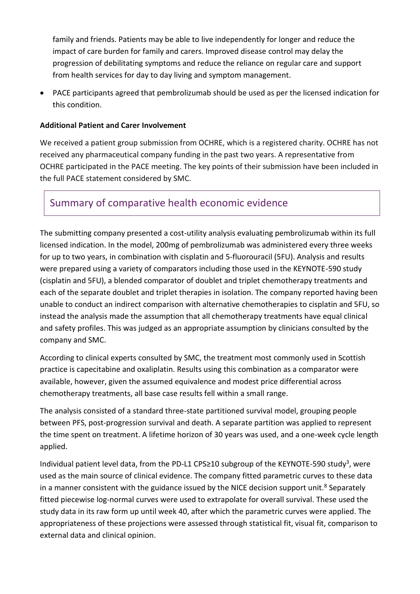family and friends. Patients may be able to live independently for longer and reduce the impact of care burden for family and carers. Improved disease control may delay the progression of debilitating symptoms and reduce the reliance on regular care and support from health services for day to day living and symptom management.

 PACE participants agreed that pembrolizumab should be used as per the licensed indication for this condition.

#### **Additional Patient and Carer Involvement**

We received a patient group submission from OCHRE, which is a registered charity. OCHRE has not received any pharmaceutical company funding in the past two years. A representative from OCHRE participated in the PACE meeting. The key points of their submission have been included in the full PACE statement considered by SMC.

### Summary of comparative health economic evidence

The submitting company presented a cost-utility analysis evaluating pembrolizumab within its full licensed indication. In the model, 200mg of pembrolizumab was administered every three weeks for up to two years, in combination with cisplatin and 5-fluorouracil (5FU). Analysis and results were prepared using a variety of comparators including those used in the KEYNOTE-590 study (cisplatin and 5FU), a blended comparator of doublet and triplet chemotherapy treatments and each of the separate doublet and triplet therapies in isolation. The company reported having been unable to conduct an indirect comparison with alternative chemotherapies to cisplatin and 5FU, so instead the analysis made the assumption that all chemotherapy treatments have equal clinical and safety profiles. This was judged as an appropriate assumption by clinicians consulted by the company and SMC.

According to clinical experts consulted by SMC, the treatment most commonly used in Scottish practice is capecitabine and oxaliplatin. Results using this combination as a comparator were available, however, given the assumed equivalence and modest price differential across chemotherapy treatments, all base case results fell within a small range.

The analysis consisted of a standard three-state partitioned survival model, grouping people between PFS, post-progression survival and death. A separate partition was applied to represent the time spent on treatment. A lifetime horizon of 30 years was used, and a one-week cycle length applied.

Individual patient level data, from the PD-L1 CPS≥10 subgroup of the KEYNOTE-590 study<sup>3</sup>, were used as the main source of clinical evidence. The company fitted parametric curves to these data in a manner consistent with the guidance issued by the NICE decision support unit.<sup>8</sup> Separately fitted piecewise log-normal curves were used to extrapolate for overall survival. These used the study data in its raw form up until week 40, after which the parametric curves were applied. The appropriateness of these projections were assessed through statistical fit, visual fit, comparison to external data and clinical opinion.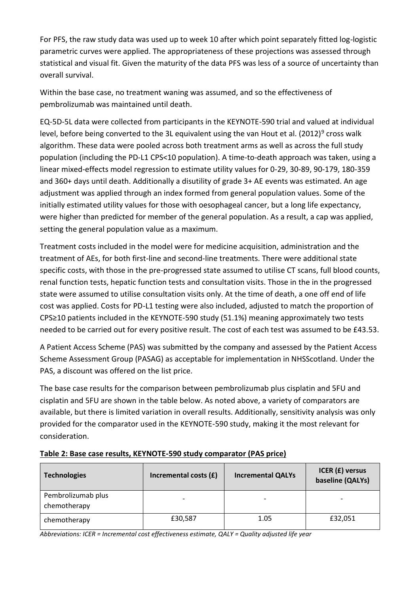For PFS, the raw study data was used up to week 10 after which point separately fitted log-logistic parametric curves were applied. The appropriateness of these projections was assessed through statistical and visual fit. Given the maturity of the data PFS was less of a source of uncertainty than overall survival.

Within the base case, no treatment waning was assumed, and so the effectiveness of pembrolizumab was maintained until death.

EQ-5D-5L data were collected from participants in the KEYNOTE-590 trial and valued at individual level, before being converted to the 3L equivalent using the van Hout et al. (2012)<sup>9</sup> cross walk algorithm. These data were pooled across both treatment arms as well as across the full study population (including the PD-L1 CPS<10 population). A time-to-death approach was taken, using a linear mixed-effects model regression to estimate utility values for 0-29, 30-89, 90-179, 180-359 and 360+ days until death. Additionally a disutility of grade 3+ AE events was estimated. An age adjustment was applied through an index formed from general population values. Some of the initially estimated utility values for those with oesophageal cancer, but a long life expectancy, were higher than predicted for member of the general population. As a result, a cap was applied, setting the general population value as a maximum.

Treatment costs included in the model were for medicine acquisition, administration and the treatment of AEs, for both first-line and second-line treatments. There were additional state specific costs, with those in the pre-progressed state assumed to utilise CT scans, full blood counts, renal function tests, hepatic function tests and consultation visits. Those in the in the progressed state were assumed to utilise consultation visits only. At the time of death, a one off end of life cost was applied. Costs for PD-L1 testing were also included, adjusted to match the proportion of CPS≥10 patients included in the KEYNOTE-590 study (51.1%) meaning approximately two tests needed to be carried out for every positive result. The cost of each test was assumed to be £43.53.

A Patient Access Scheme (PAS) was submitted by the company and assessed by the Patient Access Scheme Assessment Group (PASAG) as acceptable for implementation in NHSScotland. Under the PAS, a discount was offered on the list price.

The base case results for the comparison between pembrolizumab plus cisplatin and 5FU and cisplatin and 5FU are shown in the table below. As noted above, a variety of comparators are available, but there is limited variation in overall results. Additionally, sensitivity analysis was only provided for the comparator used in the KEYNOTE-590 study, making it the most relevant for consideration.

| <b>Technologies</b>                | Incremental costs (£) | <b>Incremental QALYs</b> | ICER (£) versus<br>baseline (QALYs) |
|------------------------------------|-----------------------|--------------------------|-------------------------------------|
| Pembrolizumab plus<br>chemotherapy |                       | -                        |                                     |
| chemotherapy                       | £30,587               | 1.05                     | £32,051                             |

#### **Table 2: Base case results, KEYNOTE-590 study comparator (PAS price)**

*Abbreviations: ICER = Incremental cost effectiveness estimate, QALY = Quality adjusted life year*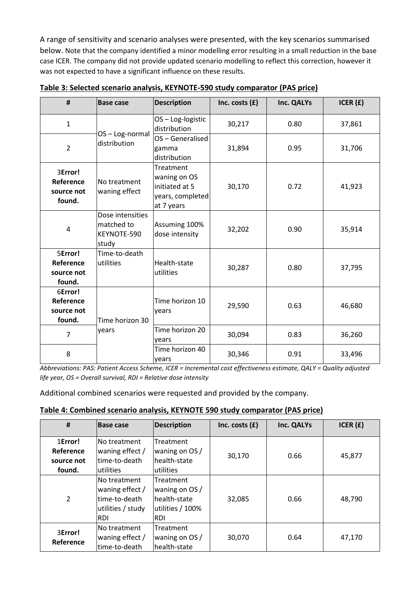A range of sensitivity and scenario analyses were presented, with the key scenarios summarised below. Note that the company identified a minor modelling error resulting in a small reduction in the base case ICER. The company did not provide updated scenario modelling to reflect this correction, however it was not expected to have a significant influence on these results.

| #                                            | <b>Base case</b>                                       | <b>Description</b>                                                            | Inc. costs $(f)$ | Inc. QALYs | ICER $(f)$ |
|----------------------------------------------|--------------------------------------------------------|-------------------------------------------------------------------------------|------------------|------------|------------|
| $\mathbf{1}$                                 | OS-Log-normal                                          | OS-Log-logistic<br>distribution                                               | 30,217           | 0.80       | 37,861     |
| $\overline{2}$                               | distribution                                           | OS-Generalised<br>gamma<br>distribution                                       | 31,894           | 0.95       | 31,706     |
| 3Error!<br>Reference<br>source not<br>found. | No treatment<br>waning effect                          | Treatment<br>waning on OS<br>initiated at 5<br>years, completed<br>at 7 years | 30,170           | 0.72       | 41,923     |
| 4                                            | Dose intensities<br>matched to<br>KEYNOTE-590<br>study | Assuming 100%<br>dose intensity                                               | 32,202           | 0.90       | 35,914     |
| 5Error!<br>Reference<br>source not<br>found. | Time-to-death<br>utilities                             | Health-state<br>utilities                                                     | 30,287           | 0.80       | 37,795     |
| 6Error!<br>Reference<br>source not<br>found. | Time horizon 30                                        | Time horizon 10<br>years                                                      | 29,590           | 0.63       | 46,680     |
| $\overline{7}$                               | years                                                  | Time horizon 20<br>years                                                      | 30,094           | 0.83       | 36,260     |
| 8                                            |                                                        | Time horizon 40<br>years                                                      | 30,346           | 0.91       | 33,496     |

**Table 3: Selected scenario analysis, KEYNOTE-590 study comparator (PAS price)**

*Abbreviations: PAS: Patient Access Scheme, ICER = Incremental cost effectiveness estimate, QALY = Quality adjusted life year, OS = Overall survival, RDI = Relative dose intensity*

Additional combined scenarios were requested and provided by the company.

| Table 4: Combined scenario analysis, KEYNOTE 590 study comparator (PAS price) |
|-------------------------------------------------------------------------------|
|-------------------------------------------------------------------------------|

| #                                            | <b>Base case</b>                                                                     | <b>Description</b>                                                       | Inc. costs $(f)$ | Inc. QALYs | ICER $(f)$ |
|----------------------------------------------|--------------------------------------------------------------------------------------|--------------------------------------------------------------------------|------------------|------------|------------|
| 1Error!<br>Reference<br>source not<br>found. | lNo treatment<br>waning effect /<br>ltime-to-death<br>lutilities                     | Treatment<br>waning on OS /<br>lhealth-state<br>utilities                | 30,170           | 0.66       | 45,877     |
| 2                                            | No treatment<br>waning effect /<br>ltime-to-death<br>utilities / study<br><b>RDI</b> | Treatment<br>waning on OS /<br>lhealth-state<br>utilities / 100%<br>IRDI | 32,085           | 0.66       | 48,790     |
| 3Error!<br>Reference                         | lNo treatment<br>waning effect /<br>ltime-to-death                                   | Treatment<br>waning on OS /<br>health-state                              | 30,070           | 0.64       | 47,170     |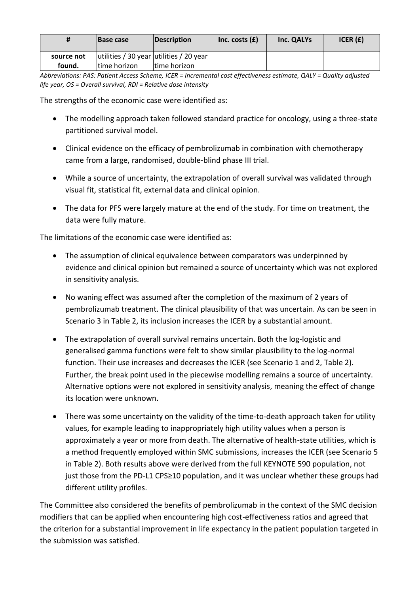| #          | <b>Base case</b> | Description                             | Inc. costs $(f)$ | Inc. QALYs | ICER $(f)$ |
|------------|------------------|-----------------------------------------|------------------|------------|------------|
| source not |                  | utilities / 30 year utilities / 20 year |                  |            |            |
| found.     | time horizon     | time horizon                            |                  |            |            |

*Abbreviations: PAS: Patient Access Scheme, ICER = Incremental cost effectiveness estimate, QALY = Quality adjusted life year, OS = Overall survival, RDI = Relative dose intensity*

The strengths of the economic case were identified as:

- The modelling approach taken followed standard practice for oncology, using a three-state partitioned survival model.
- Clinical evidence on the efficacy of pembrolizumab in combination with chemotherapy came from a large, randomised, double-blind phase III trial.
- While a source of uncertainty, the extrapolation of overall survival was validated through visual fit, statistical fit, external data and clinical opinion.
- The data for PFS were largely mature at the end of the study. For time on treatment, the data were fully mature.

The limitations of the economic case were identified as:

- The assumption of clinical equivalence between comparators was underpinned by evidence and clinical opinion but remained a source of uncertainty which was not explored in sensitivity analysis.
- No waning effect was assumed after the completion of the maximum of 2 years of pembrolizumab treatment. The clinical plausibility of that was uncertain. As can be seen in Scenario 3 in Table 2, its inclusion increases the ICER by a substantial amount.
- The extrapolation of overall survival remains uncertain. Both the log-logistic and generalised gamma functions were felt to show similar plausibility to the log-normal function. Their use increases and decreases the ICER (see Scenario 1 and 2, Table 2). Further, the break point used in the piecewise modelling remains a source of uncertainty. Alternative options were not explored in sensitivity analysis, meaning the effect of change its location were unknown.
- There was some uncertainty on the validity of the time-to-death approach taken for utility values, for example leading to inappropriately high utility values when a person is approximately a year or more from death. The alternative of health-state utilities, which is a method frequently employed within SMC submissions, increases the ICER (see Scenario 5 in Table 2). Both results above were derived from the full KEYNOTE 590 population, not just those from the PD-L1 CPS≥10 population, and it was unclear whether these groups had different utility profiles.

The Committee also considered the benefits of pembrolizumab in the context of the SMC decision modifiers that can be applied when encountering high cost-effectiveness ratios and agreed that the criterion for a substantial improvement in life expectancy in the patient population targeted in the submission was satisfied.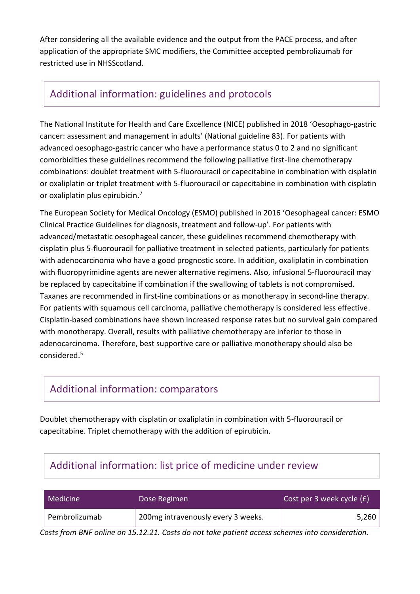After considering all the available evidence and the output from the PACE process, and after application of the appropriate SMC modifiers, the Committee accepted pembrolizumab for restricted use in NHSScotland.

### Additional information: guidelines and protocols

The National Institute for Health and Care Excellence (NICE) published in 2018 'Oesophago-gastric cancer: assessment and management in adults' (National guideline 83). For patients with advanced oesophago-gastric cancer who have a performance status 0 to 2 and no significant comorbidities these guidelines recommend the following palliative first-line chemotherapy combinations: doublet treatment with 5-fluorouracil or capecitabine in combination with cisplatin or oxaliplatin or triplet treatment with 5-fluorouracil or capecitabine in combination with cisplatin or oxaliplatin plus epirubicin.<sup>7</sup>

The European Society for Medical Oncology (ESMO) published in 2016 'Oesophageal cancer: ESMO Clinical Practice Guidelines for diagnosis, treatment and follow-up'. For patients with advanced/metastatic oesophageal cancer, these guidelines recommend chemotherapy with cisplatin plus 5-fluorouracil for palliative treatment in selected patients, particularly for patients with adenocarcinoma who have a good prognostic score. In addition, oxaliplatin in combination with fluoropyrimidine agents are newer alternative regimens. Also, infusional 5-fluorouracil may be replaced by capecitabine if combination if the swallowing of tablets is not compromised. Taxanes are recommended in first-line combinations or as monotherapy in second-line therapy. For patients with squamous cell carcinoma, palliative chemotherapy is considered less effective. Cisplatin-based combinations have shown increased response rates but no survival gain compared with monotherapy. Overall, results with palliative chemotherapy are inferior to those in adenocarcinoma. Therefore, best supportive care or palliative monotherapy should also be considered. 5

## Additional information: comparators

Doublet chemotherapy with cisplatin or oxaliplatin in combination with 5-fluorouracil or capecitabine. Triplet chemotherapy with the addition of epirubicin.

# Additional information: list price of medicine under review

| <b>Medicine</b> | Dose Regimen                       | Cost per 3 week cycle (£) |  |
|-----------------|------------------------------------|---------------------------|--|
| Pembrolizumab   | 200mg intravenously every 3 weeks. | 5,260                     |  |

*Costs from BNF online on 15.12.21. Costs do not take patient access schemes into consideration.*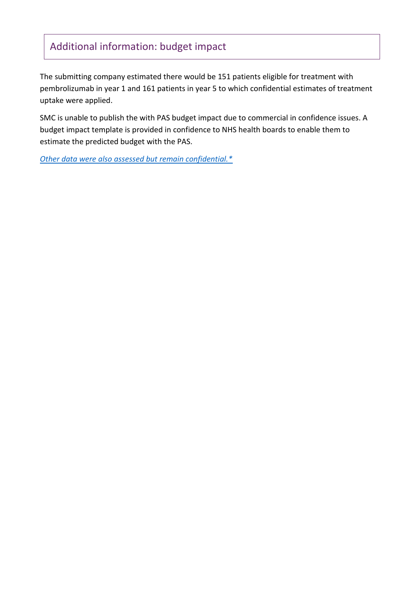# Additional information: budget impact

The submitting company estimated there would be 151 patients eligible for treatment with pembrolizumab in year 1 and 161 patients in year 5 to which confidential estimates of treatment uptake were applied.

SMC is unable to publish the with PAS budget impact due to commercial in confidence issues. A budget impact template is provided in confidence to NHS health boards to enable them to estimate the predicted budget with the PAS.

*[Other data were also assessed but remain confidential.\\*](https://www.scottishmedicines.org.uk/media/3572/20180710-release-of-company-data.pdf)*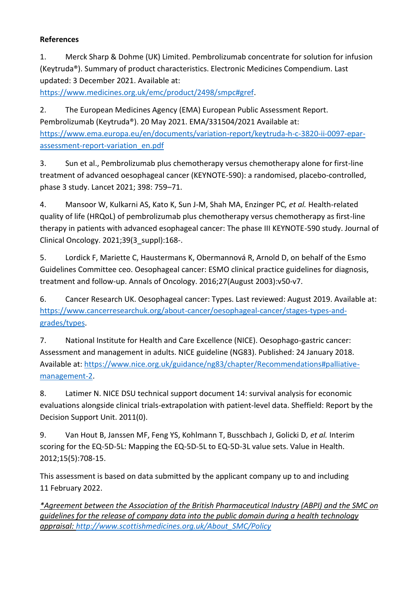#### **References**

1. Merck Sharp & Dohme (UK) Limited. Pembrolizumab concentrate for solution for infusion (Keytruda®). Summary of product characteristics. Electronic Medicines Compendium. Last updated: 3 December 2021. Available at:

[https://www.medicines.org.uk/emc/product/2498/smpc#gref.](https://www.medicines.org.uk/emc/product/2498/smpc#gref)

2. The European Medicines Agency (EMA) European Public Assessment Report. Pembrolizumab (Keytruda®). 20 May 2021. EMA/331504/2021 Available at: [https://www.ema.europa.eu/en/documents/variation-report/keytruda-h-c-3820-ii-0097-epar](https://www.ema.europa.eu/en/documents/variation-report/keytruda-h-c-3820-ii-0097-epar-assessment-report-variation_en.pdf)[assessment-report-variation\\_en.pdf](https://www.ema.europa.eu/en/documents/variation-report/keytruda-h-c-3820-ii-0097-epar-assessment-report-variation_en.pdf)

3. Sun et al., Pembrolizumab plus chemotherapy versus chemotherapy alone for first-line treatment of advanced oesophageal cancer (KEYNOTE-590): a randomised, placebo-controlled, phase 3 study. Lancet 2021; 398: 759–71.

4. Mansoor W, Kulkarni AS, Kato K, Sun J-M, Shah MA, Enzinger PC*, et al.* Health-related quality of life (HRQoL) of pembrolizumab plus chemotherapy versus chemotherapy as first-line therapy in patients with advanced esophageal cancer: The phase III KEYNOTE-590 study. Journal of Clinical Oncology. 2021;39(3\_suppl):168-.

5. Lordick F, Mariette C, Haustermans K, Obermannová R, Arnold D, on behalf of the Esmo Guidelines Committee ceo. Oesophageal cancer: ESMO clinical practice guidelines for diagnosis, treatment and follow-up. Annals of Oncology. 2016;27(August 2003):v50-v7.

6. Cancer Research UK. Oesophageal cancer: Types. Last reviewed: August 2019. Available at: [https://www.cancerresearchuk.org/about-cancer/oesophageal-cancer/stages-types-and](https://www.cancerresearchuk.org/about-cancer/oesophageal-cancer/stages-types-and-grades/types)[grades/types.](https://www.cancerresearchuk.org/about-cancer/oesophageal-cancer/stages-types-and-grades/types)

7. National Institute for Health and Care Excellence (NICE). Oesophago-gastric cancer: Assessment and management in adults. NICE guideline (NG83). Published: 24 January 2018. Available at: [https://www.nice.org.uk/guidance/ng83/chapter/Recommendations#palliative](https://www.nice.org.uk/guidance/ng83/chapter/Recommendations#palliative-management-2)[management-2.](https://www.nice.org.uk/guidance/ng83/chapter/Recommendations#palliative-management-2)

8. Latimer N. NICE DSU technical support document 14: survival analysis for economic evaluations alongside clinical trials-extrapolation with patient-level data. Sheffield: Report by the Decision Support Unit. 2011(0).

9. Van Hout B, Janssen MF, Feng YS, Kohlmann T, Busschbach J, Golicki D*, et al.* Interim scoring for the EQ-5D-5L: Mapping the EQ-5D-5L to EQ-5D-3L value sets. Value in Health. 2012;15(5):708-15.

This assessment is based on data submitted by the applicant company up to and including 11 February 2022.

*\*Agreement between the Association of the British Pharmaceutical Industry (ABPI) and the SMC on guidelines for the release of company data into the public domain during a health technology appraisal: [http://www.scottishmedicines.org.uk/About\\_SMC/Policy](http://www.scottishmedicines.org.uk/About_SMC/Policy)*